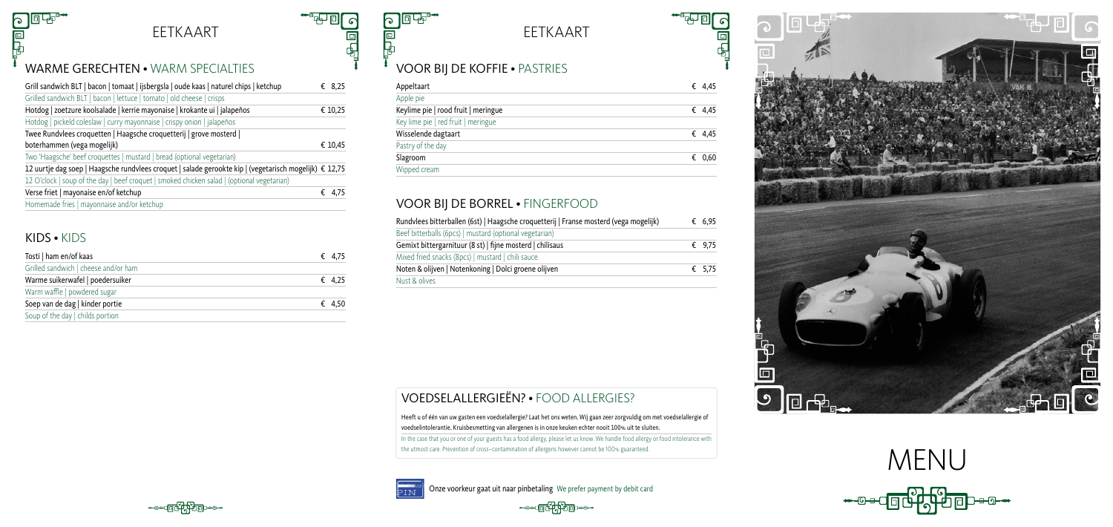# MENU

ė<br>Fl

 $\Box$ 

## EETKAART EETKAART

Onze voorkeur gaat uit naar pinbetaling We prefer payment by debit card





## VOOR BIJ DE KOFFIE • PASTRIES

| Appeltaart                          | € 4,45 |
|-------------------------------------|--------|
| Apple pie                           |        |
| Keylime pie   rood fruit   meringue | € 4,45 |
| Key lime pie   red fruit   meringue |        |
| Wisselende dagtaart                 | € 4,45 |
| Pastry of the day                   |        |
| Slagroom                            | € 0,60 |
| Wipped cream                        |        |

## VOOR BIJ DE BORREL • FINGERFOOD

| Rundvlees bitterballen (6st)   Haagsche croquetterij   Franse mosterd (vega mogelijk) | € 6,95 |
|---------------------------------------------------------------------------------------|--------|
| Beef bitterballs (6pcs)   mustard (optional vegetarian)                               |        |
| Gemixt bittergarnituur (8 st)   fijne mosterd   chilisaus                             | € 9,75 |
| Mixed fried snacks (8pcs)   mustard   chili sauce                                     |        |
| Noten & olijven   Notenkoning   Dolci groene olijven                                  | € 5,75 |
| Nust & olives                                                                         |        |

In the case that you or one of your guests has a food allergy, please let us know. We handle food allergy or food intolerance with the utmost care. Prevention of cross–contamination of allergens however cannot be 100% guaranteed.



## VOEDSELALLERGIEËN? • FOOD ALLERGIES?

Heeft u of één van uw gasten een voedselallergie? Laat het ons weten. Wij gaan zeer zorgvuldig om met voedselallergie of voedselintolerantie. Kruisbesmetting van allergenen is in onze keuken echter nooit 100% uit te sluiten.

#### WARME GERECHTEN • WARM SPECIALTIES

| Grill sandwich BLT   bacon   tomaat   ijsbergsla   oude kaas   naturel chips   ketchup               | € 8,25  |  |
|------------------------------------------------------------------------------------------------------|---------|--|
| Grilled sandwich BLT   bacon   lettuce   tomato   old cheese   crisps                                |         |  |
| Hotdog   zoetzure koolsalade   kerrie mayonaise   krokante ui   jalapeños                            | € 10,25 |  |
| Hotdog   pickeld coleslaw   curry mayonnaise   crispy onion   jalapeños                              |         |  |
| Twee Rundvlees croquetten   Haagsche croquetterij   grove mosterd                                    |         |  |
| boterhammen (vega mogelijk)                                                                          | € 10,45 |  |
| Two 'Haagsche' beef croquettes   mustard   bread (optional vegetarian)                               |         |  |
| 12,175 12,75 ± 12,75 12,75 12,75 12,75 12,175 12,75 12,75 12,75 12,75 12,175 12,75 12,75 12,75 12,75 |         |  |
| 12 O'clock   soup of the day   beef croquet   smoked chicken salad   (optional vegetarian)           |         |  |
| Verse friet   mayonaise en/of ketchup                                                                | € 4,75  |  |
| Homemade fries   mayonnaise and/or ketchup                                                           |         |  |

#### KIDS • KIDS

F<br>B

| Tosti   ham en/of kaas               | € 4,75 |
|--------------------------------------|--------|
| Grilled sandwich   cheese and/or ham |        |
| Warme suikerwafel   poedersuiker     | € 4.25 |
| Warm waffle   powdered sugar         |        |
| Soep van de dag   kinder portie      | € 4.50 |
| Soup of the day   childs portion     |        |